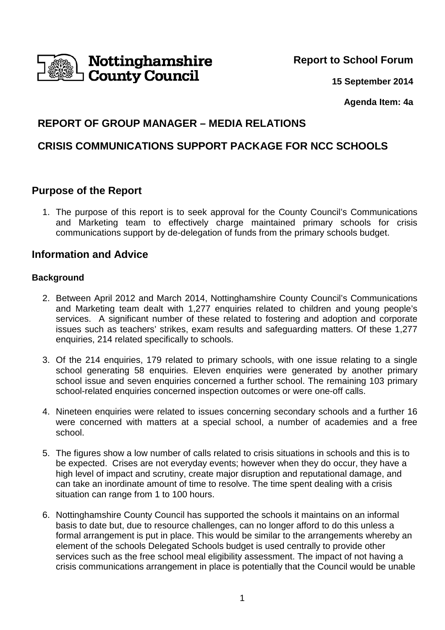

**Report to School Forum**

**15 September 2014**

**Agenda Item: 4a**

# **REPORT OF GROUP MANAGER – MEDIA RELATIONS**

# **CRISIS COMMUNICATIONS SUPPORT PACKAGE FOR NCC SCHOOLS**

# **Purpose of the Report**

1. The purpose of this report is to seek approval for the County Council's Communications and Marketing team to effectively charge maintained primary schools for crisis communications support by de-delegation of funds from the primary schools budget.

# **Information and Advice**

# **Background**

- 2. Between April 2012 and March 2014, Nottinghamshire County Council's Communications and Marketing team dealt with 1,277 enquiries related to children and young people's services. A significant number of these related to fostering and adoption and corporate issues such as teachers' strikes, exam results and safeguarding matters. Of these 1,277 enquiries, 214 related specifically to schools.
- 3. Of the 214 enquiries, 179 related to primary schools, with one issue relating to a single school generating 58 enquiries. Eleven enquiries were generated by another primary school issue and seven enquiries concerned a further school. The remaining 103 primary school-related enquiries concerned inspection outcomes or were one-off calls.
- 4. Nineteen enquiries were related to issues concerning secondary schools and a further 16 were concerned with matters at a special school, a number of academies and a free school.
- 5. The figures show a low number of calls related to crisis situations in schools and this is to be expected. Crises are not everyday events; however when they do occur, they have a high level of impact and scrutiny, create major disruption and reputational damage, and can take an inordinate amount of time to resolve. The time spent dealing with a crisis situation can range from 1 to 100 hours.
- 6. Nottinghamshire County Council has supported the schools it maintains on an informal basis to date but, due to resource challenges, can no longer afford to do this unless a formal arrangement is put in place. This would be similar to the arrangements whereby an element of the schools Delegated Schools budget is used centrally to provide other services such as the free school meal eligibility assessment. The impact of not having a crisis communications arrangement in place is potentially that the Council would be unable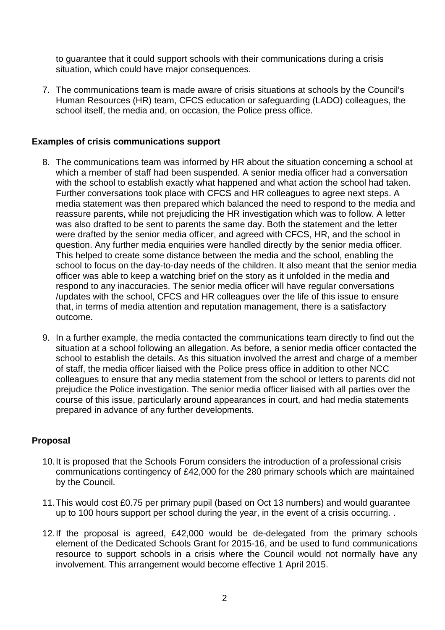to guarantee that it could support schools with their communications during a crisis situation, which could have major consequences.

7. The communications team is made aware of crisis situations at schools by the Council's Human Resources (HR) team, CFCS education or safeguarding (LADO) colleagues, the school itself, the media and, on occasion, the Police press office.

## **Examples of crisis communications support**

- 8. The communications team was informed by HR about the situation concerning a school at which a member of staff had been suspended. A senior media officer had a conversation with the school to establish exactly what happened and what action the school had taken. Further conversations took place with CFCS and HR colleagues to agree next steps. A media statement was then prepared which balanced the need to respond to the media and reassure parents, while not prejudicing the HR investigation which was to follow. A letter was also drafted to be sent to parents the same day. Both the statement and the letter were drafted by the senior media officer, and agreed with CFCS, HR, and the school in question. Any further media enquiries were handled directly by the senior media officer. This helped to create some distance between the media and the school, enabling the school to focus on the day-to-day needs of the children. It also meant that the senior media officer was able to keep a watching brief on the story as it unfolded in the media and respond to any inaccuracies. The senior media officer will have regular conversations /updates with the school, CFCS and HR colleagues over the life of this issue to ensure that, in terms of media attention and reputation management, there is a satisfactory outcome.
- 9. In a further example, the media contacted the communications team directly to find out the situation at a school following an allegation. As before, a senior media officer contacted the school to establish the details. As this situation involved the arrest and charge of a member of staff, the media officer liaised with the Police press office in addition to other NCC colleagues to ensure that any media statement from the school or letters to parents did not prejudice the Police investigation. The senior media officer liaised with all parties over the course of this issue, particularly around appearances in court, and had media statements prepared in advance of any further developments.

#### **Proposal**

- 10. It is proposed that the Schools Forum considers the introduction of a professional crisis communications contingency of £42,000 for the 280 primary schools which are maintained by the Council.
- 11. This would cost £0.75 per primary pupil (based on Oct 13 numbers) and would guarantee up to 100 hours support per school during the year, in the event of a crisis occurring. .
- 12. If the proposal is agreed, £42,000 would be de-delegated from the primary schools element of the Dedicated Schools Grant for 2015-16, and be used to fund communications resource to support schools in a crisis where the Council would not normally have any involvement. This arrangement would become effective 1 April 2015.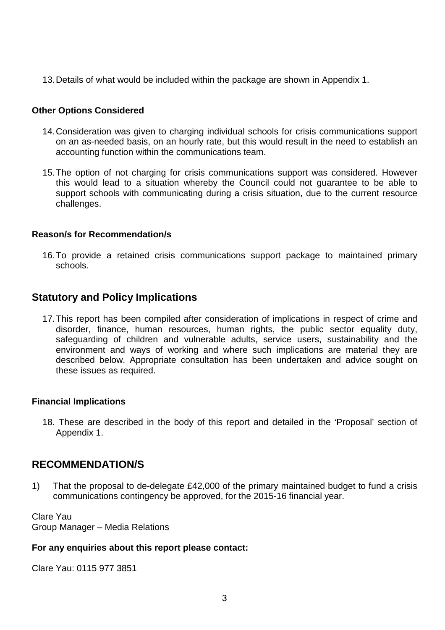13. Details of what would be included within the package are shown in Appendix 1.

### **Other Options Considered**

- 14. Consideration was given to charging individual schools for crisis communications support on an as-needed basis, on an hourly rate, but this would result in the need to establish an accounting function within the communications team.
- 15. The option of not charging for crisis communications support was considered. However this would lead to a situation whereby the Council could not guarantee to be able to support schools with communicating during a crisis situation, due to the current resource challenges.

#### **Reason/s for Recommendation/s**

16. To provide a retained crisis communications support package to maintained primary schools.

# **Statutory and Policy Implications**

17. This report has been compiled after consideration of implications in respect of crime and disorder, finance, human resources, human rights, the public sector equality duty, safeguarding of children and vulnerable adults, service users, sustainability and the environment and ways of working and where such implications are material they are described below. Appropriate consultation has been undertaken and advice sought on these issues as required.

#### **Financial Implications**

18. These are described in the body of this report and detailed in the 'Proposal' section of Appendix 1.

# **RECOMMENDATION/S**

1) That the proposal to de-delegate £42,000 of the primary maintained budget to fund a crisis communications contingency be approved, for the 2015-16 financial year.

Clare Yau Group Manager – Media Relations

#### **For any enquiries about this report please contact:**

Clare Yau: 0115 977 3851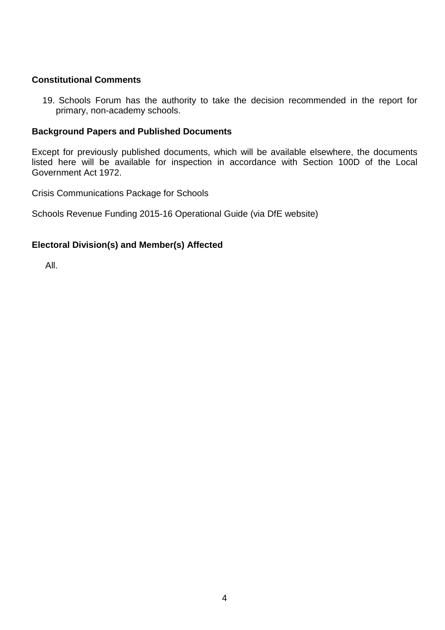## **Constitutional Comments**

19. Schools Forum has the authority to take the decision recommended in the report for primary, non-academy schools.

#### **Background Papers and Published Documents**

Except for previously published documents, which will be available elsewhere, the documents listed here will be available for inspection in accordance with Section 100D of the Local Government Act 1972.

Crisis Communications Package for Schools

Schools Revenue Funding 2015-16 Operational Guide (via DfE website)

## **Electoral Division(s) and Member(s) Affected**

All.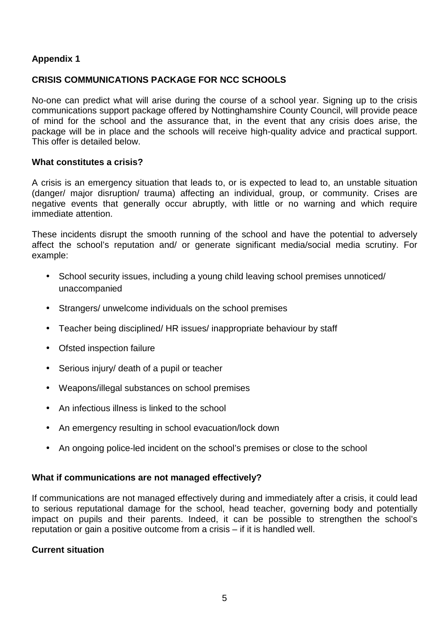# **Appendix 1**

# **CRISIS COMMUNICATIONS PACKAGE FOR NCC SCHOOLS**

No-one can predict what will arise during the course of a school year. Signing up to the crisis communications support package offered by Nottinghamshire County Council, will provide peace of mind for the school and the assurance that, in the event that any crisis does arise, the package will be in place and the schools will receive high-quality advice and practical support. This offer is detailed below.

#### **What constitutes a crisis?**

A crisis is an emergency situation that leads to, or is expected to lead to, an unstable situation (danger/ major disruption/ trauma) affecting an individual, group, or community. Crises are negative events that generally occur abruptly, with little or no warning and which require immediate attention.

These incidents disrupt the smooth running of the school and have the potential to adversely affect the school's reputation and/ or generate significant media/social media scrutiny. For example:

- School security issues, including a young child leaving school premises unnoticed/ unaccompanied
- Strangers/ unwelcome individuals on the school premises
- Teacher being disciplined/ HR issues/ inappropriate behaviour by staff
- Ofsted inspection failure
- Serious injury/ death of a pupil or teacher
- Weapons/illegal substances on school premises
- An infectious illness is linked to the school
- An emergency resulting in school evacuation/lock down
- An ongoing police-led incident on the school's premises or close to the school

#### **What if communications are not managed effectively?**

If communications are not managed effectively during and immediately after a crisis, it could lead to serious reputational damage for the school, head teacher, governing body and potentially impact on pupils and their parents. Indeed, it can be possible to strengthen the school's reputation or gain a positive outcome from a crisis – if it is handled well.

#### **Current situation**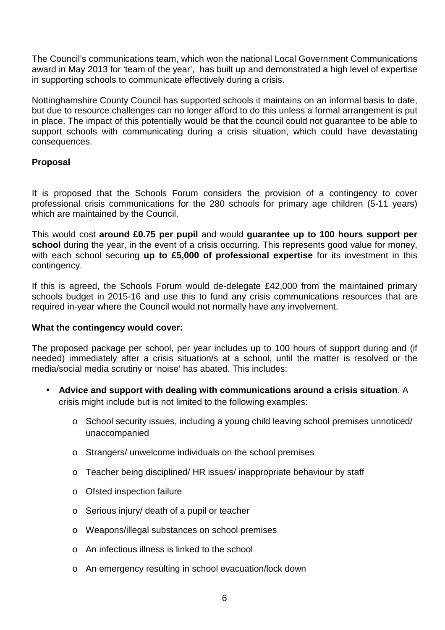The Council's communications team, which won the national Local Government Communications award in May 2013 for 'team of the year', has built up and demonstrated a high level of expertise in supporting schools to communicate effectively during a crisis.

Nottinghamshire County Council has supported schools it maintains on an informal basis to date, but due to resource challenges can no longer afford to do this unless a formal arrangement is put in place. The impact of this potentially would be that the council could not guarantee to be able to support schools with communicating during a crisis situation, which could have devastating consequences.

# **Proposal**

It is proposed that the Schools Forum considers the provision of a contingency to cover professional crisis communications for the 280 schools for primary age children (5-11 years) which are maintained by the Council.

This would cost **around £0.75 per pupil** and would **guarantee up to 100 hours support per**  school during the year, in the event of a crisis occurring. This represents good value for money, with each school securing **up to £5,000 of professional expertise** for its investment in this contingency.

If this is agreed, the Schools Forum would de-delegate £42,000 from the maintained primary schools budget in 2015-16 and use this to fund any crisis communications resources that are required in-year where the Council would not normally have any involvement.

#### **What the contingency would cover:**

The proposed package per school, per year includes up to 100 hours of support during and (if needed) immediately after a crisis situation/s at a school, until the matter is resolved or the media/social media scrutiny or 'noise' has abated. This includes:

- **Advice and support with dealing with communications around a crisis situation**. A crisis might include but is not limited to the following examples:
	- o School security issues, including a young child leaving school premises unnoticed/ unaccompanied
	- o Strangers/ unwelcome individuals on the school premises
	- $\circ$  Teacher being disciplined/ HR issues/ inappropriate behaviour by staff
	- o Ofsted inspection failure
	- o Serious injury/ death of a pupil or teacher
	- o Weapons/illegal substances on school premises
	- o An infectious illness is linked to the school
	- o An emergency resulting in school evacuation/lock down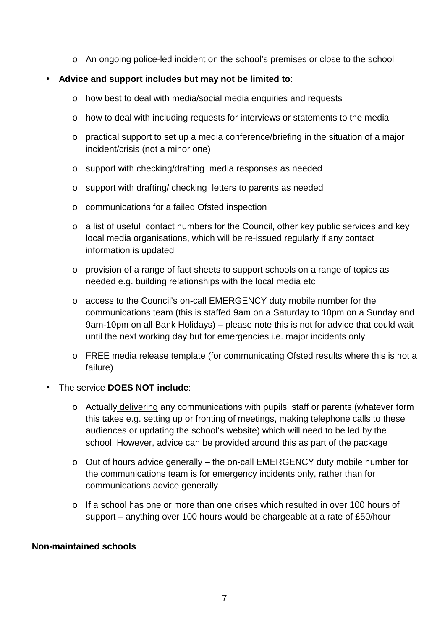o An ongoing police-led incident on the school's premises or close to the school

# • **Advice and support includes but may not be limited to**:

- o how best to deal with media/social media enquiries and requests
- o how to deal with including requests for interviews or statements to the media
- o practical support to set up a media conference/briefing in the situation of a major incident/crisis (not a minor one)
- o support with checking/drafting media responses as needed
- o support with drafting/ checking letters to parents as needed
- o communications for a failed Ofsted inspection
- o a list of useful contact numbers for the Council, other key public services and key local media organisations, which will be re-issued regularly if any contact information is updated
- o provision of a range of fact sheets to support schools on a range of topics as needed e.g. building relationships with the local media etc
- o access to the Council's on-call EMERGENCY duty mobile number for the communications team (this is staffed 9am on a Saturday to 10pm on a Sunday and 9am-10pm on all Bank Holidays) – please note this is not for advice that could wait until the next working day but for emergencies i.e. major incidents only
- o FREE media release template (for communicating Ofsted results where this is not a failure)
- The service **DOES NOT include**:
	- $\circ$  Actually delivering any communications with pupils, staff or parents (whatever form this takes e.g. setting up or fronting of meetings, making telephone calls to these audiences or updating the school's website) which will need to be led by the school. However, advice can be provided around this as part of the package
	- o Out of hours advice generally the on-call EMERGENCY duty mobile number for the communications team is for emergency incidents only, rather than for communications advice generally
	- o If a school has one or more than one crises which resulted in over 100 hours of support – anything over 100 hours would be chargeable at a rate of £50/hour

#### **Non-maintained schools**